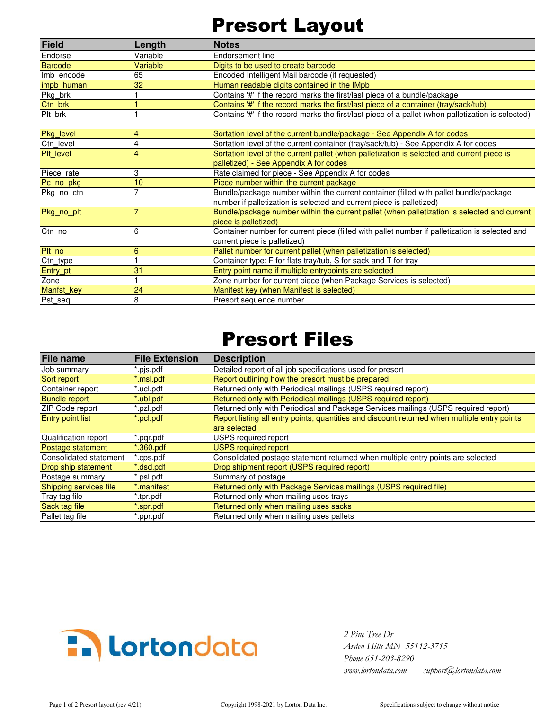## Presort Layout

| <b>Field</b>   | Length         | <b>Notes</b>                                                                                       |  |
|----------------|----------------|----------------------------------------------------------------------------------------------------|--|
| Endorse        | Variable       | Endorsement line                                                                                   |  |
| <b>Barcode</b> | Variable       | Digits to be used to create barcode                                                                |  |
| Imb encode     | 65             | Encoded Intelligent Mail barcode (if requested)                                                    |  |
| impb human     | 32             | Human readable digits contained in the IMpb                                                        |  |
| Pkg_brk        |                | Contains '#' if the record marks the first/last piece of a bundle/package                          |  |
| Ctn brk        | 1              | Contains '#' if the record marks the first/last piece of a container (tray/sack/tub)               |  |
| Plt brk        |                | Contains '#' if the record marks the first/last piece of a pallet (when palletization is selected) |  |
| Pkg_level      | 4              | Sortation level of the current bundle/package - See Appendix A for codes                           |  |
| Ctn level      | 4              | Sortation level of the current container (tray/sack/tub) - See Appendix A for codes                |  |
| Plt level      | 4              | Sortation level of the current pallet (when palletization is selected and current piece is         |  |
|                |                | palletized) - See Appendix A for codes                                                             |  |
| Piece rate     | 3              | Rate claimed for piece - See Appendix A for codes                                                  |  |
| Pc_no_pkg      | 10             | Piece number within the current package                                                            |  |
| Pkg no ctn     | $\overline{7}$ | Bundle/package number within the current container (filled with pallet bundle/package              |  |
|                |                | number if palletization is selected and current piece is palletized)                               |  |
| Pkg_no_plt     | $\overline{7}$ | Bundle/package number within the current pallet (when palletization is selected and current        |  |
|                |                | piece is palletized)                                                                               |  |
| Ctn_no         | 6              | Container number for current piece (filled with pallet number if palletization is selected and     |  |
|                |                | current piece is palletized)                                                                       |  |
| Plt no         | 6              | Pallet number for current pallet (when palletization is selected)                                  |  |
| Ctn_type       |                | Container type: F for flats tray/tub, S for sack and T for tray                                    |  |
| Entry_pt       | 31             | Entry point name if multiple entrypoints are selected                                              |  |
| Zone           |                | Zone number for current piece (when Package Services is selected)                                  |  |
| Manfst_key     | 24             | Manifest key (when Manifest is selected)                                                           |  |
| Pst seq        | 8              | Presort sequence number                                                                            |  |
|                |                |                                                                                                    |  |

## Presort Files

| File name              | <b>File Extension</b> | <b>Description</b>                                                                           |
|------------------------|-----------------------|----------------------------------------------------------------------------------------------|
| Job summary            | '.pjs.pdf             | Detailed report of all job specifications used for presort                                   |
| Sort report            | *.msl.pdf             | Report outlining how the presort must be prepared                                            |
| Container report       | *.ucl.pdf             | Returned only with Periodical mailings (USPS required report)                                |
| <b>Bundle report</b>   | *.ubl.pdf             | Returned only with Periodical mailings (USPS required report)                                |
| ZIP Code report        | *.pzl.pdf             | Returned only with Periodical and Package Services mailings (USPS required report)           |
| Entry point list       | *.pcl.pdf             | Report listing all entry points, quantities and discount returned when multiple entry points |
|                        |                       | are selected                                                                                 |
| Qualification report   | .pgr.pdf              | USPS required report                                                                         |
| Postage statement      | $*$ .360.pdf          | <b>USPS required report</b>                                                                  |
| Consolidated statement | .cps.pdf              | Consolidated postage statement returned when multiple entry points are selected              |
| Drop ship statement    | *.dsd.pdf             | Drop shipment report (USPS required report)                                                  |
| Postage summary        | *.psl.pdf             | Summary of postage                                                                           |
| Shipping services file | *.manifest            | Returned only with Package Services mailings (USPS required file)                            |
| Tray tag file          | *.tpr.pdf             | Returned only when mailing uses trays                                                        |
| Sack tag file          | spr.pdf.'             | Returned only when mailing uses sacks                                                        |
| Pallet tag file        | ppr.pdf."             | Returned only when mailing uses pallets                                                      |



 *Arden Hills MN 55112-3715 Phone 651-203-8290 www.lortondata.com support@lortondata.com*